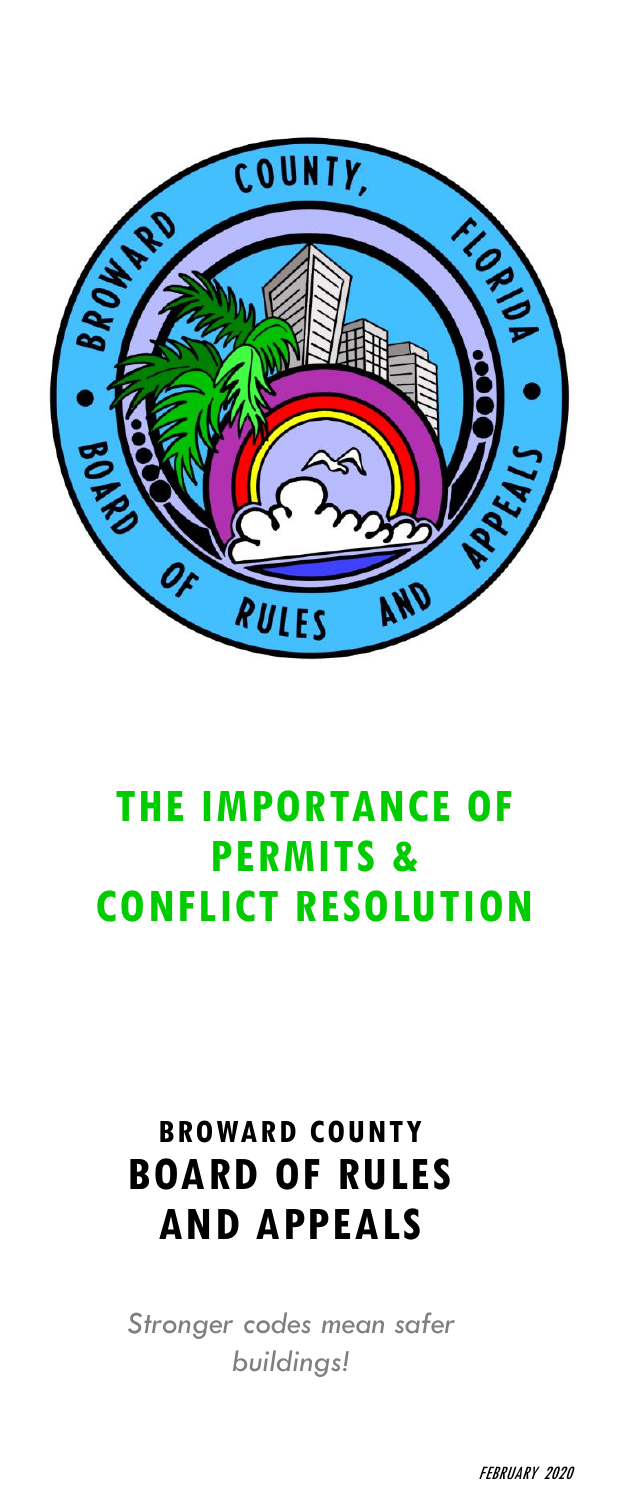

# **THE IMPORTANCE OF PERMITS & CONFLICT RESOLUTION**

## **BROWARD COUNTY BOARD OF RULES AND APPEALS**

*Stronger codes mean safer buildings!*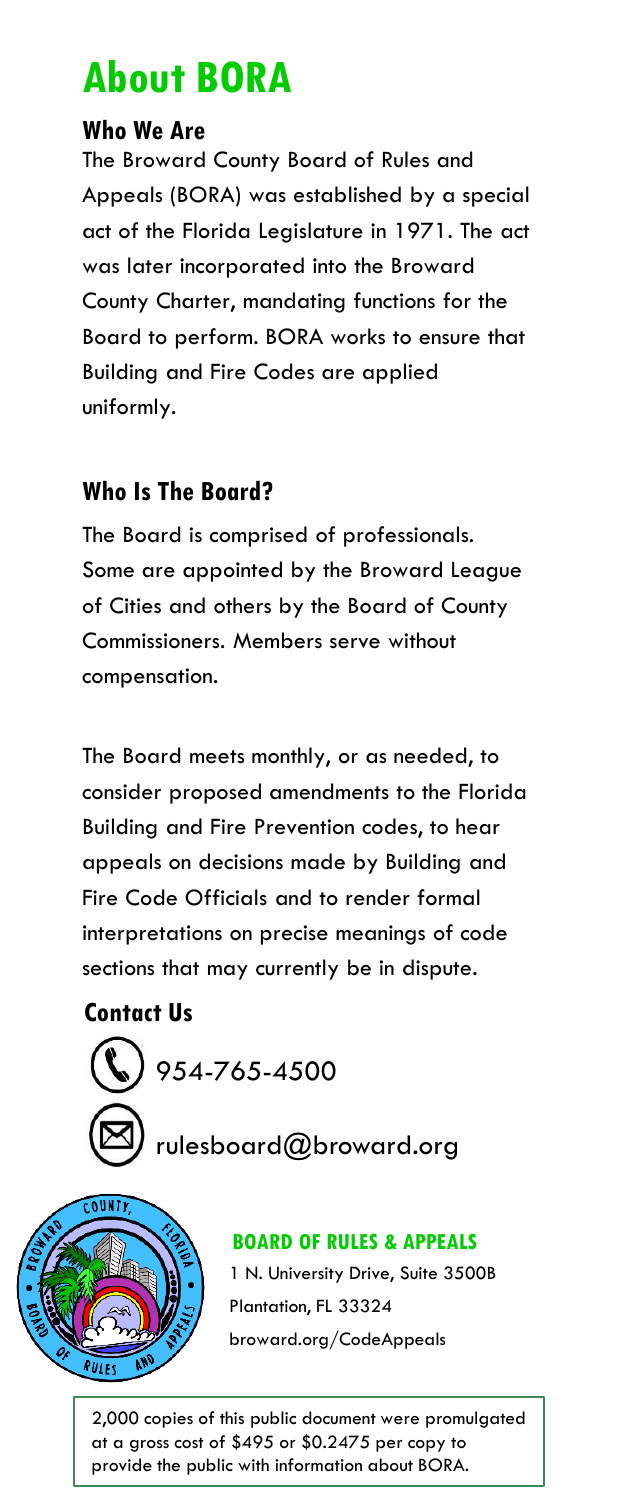# **About BORA**

### **Who We Are**

The Broward County Board of Rules and Appeals (BORA) was established by a special act of the Florida Legislature in 1971. The act was later incorporated into the Broward County Charter, mandating functions for the Board to perform. BORA works to ensure that Building and Fire Codes are applied uniformly.

### **Who Is The Board?**

The Board is comprised of professionals. Some are appointed by the Broward League of Cities and others by the Board of County Commissioners. Members serve without compensation.

The Board meets monthly, or as needed, to consider proposed amendments to the Florida Building and Fire Prevention codes, to hear appeals on decisions made by Building and Fire Code Officials and to render formal interpretations on precise meanings of code sections that may currently be in dispute.

### **Contact Us**





### **BOARD OF RULES & APPEALS**

1 N. University Drive, Suite 3500B Plantation, FL 33324 broward.org/CodeAppeals

2,000 copies of this public document were promulgated at a gross cost of \$495 or \$0.2475 per copy to provide the public with information about BORA.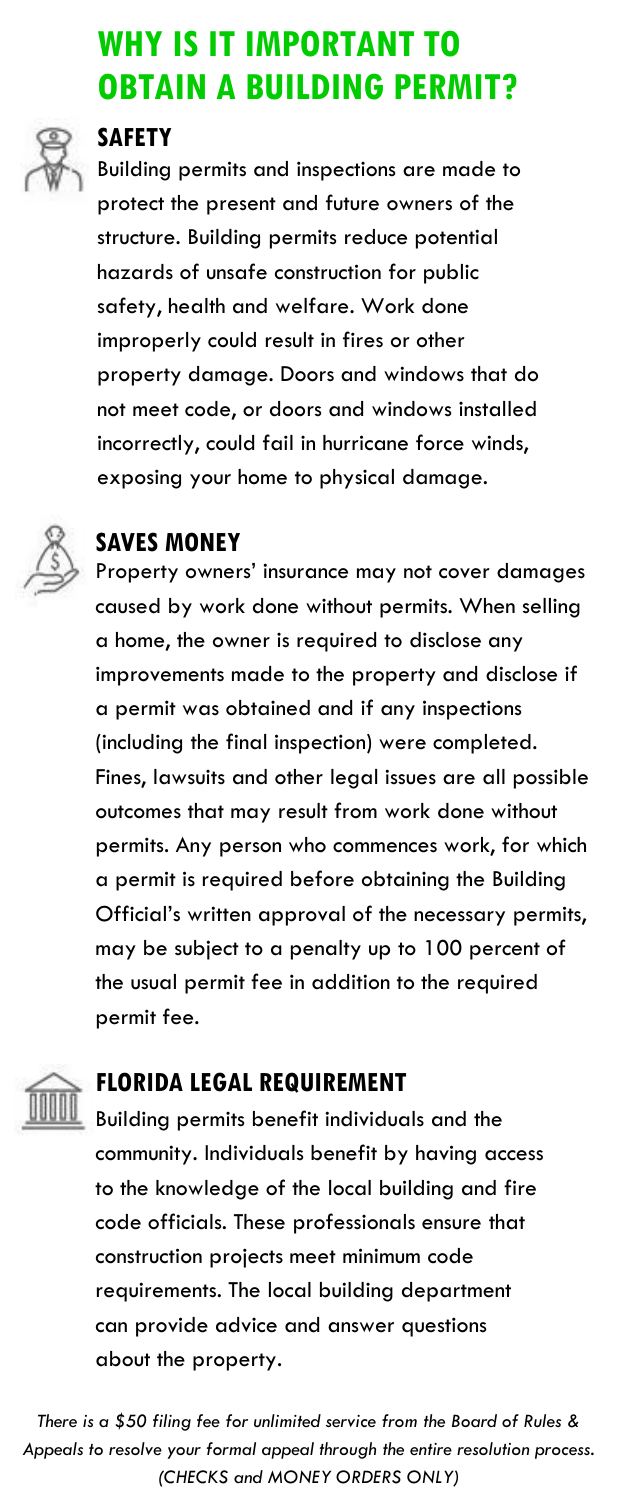### **WHY IS IT IMPORTANT TO OBTAIN A BUILDING PERMIT?**



#### **SAFETY**

Building permits and inspections are made to protect the present and future owners of the structure. Building permits reduce potential hazards of unsafe construction for public safety, health and welfare. Work done improperly could result in fires or other property damage. Doors and windows that do not meet code, or doors and windows installed incorrectly, could fail in hurricane force winds, exposing your home to physical damage.



#### **SAVES MONEY**

Property owners' insurance may not cover damages caused by work done without permits. When selling a home, the owner is required to disclose any improvements made to the property and disclose if a permit was obtained and if any inspections (including the final inspection) were completed. Fines, lawsuits and other legal issues are all possible outcomes that may result from work done without permits. Any person who commences work, for which a permit is required before obtaining the Building Official's written approval of the necessary permits, may be subject to a penalty up to 100 percent of the usual permit fee in addition to the required permit fee.



#### **FLORIDA LEGAL REQUIREMENT**

Building permits benefit individuals and the community. Individuals benefit by having access to the knowledge of the local building and fire code officials. These professionals ensure that construction projects meet minimum code requirements. The local building department can provide advice and answer questions about the property.

*There is a \$50 filing fee for unlimited service from the Board of Rules & Appeals to resolve your formal appeal through the entire resolution process. (CHECKS and MONEY ORDERS ONLY)*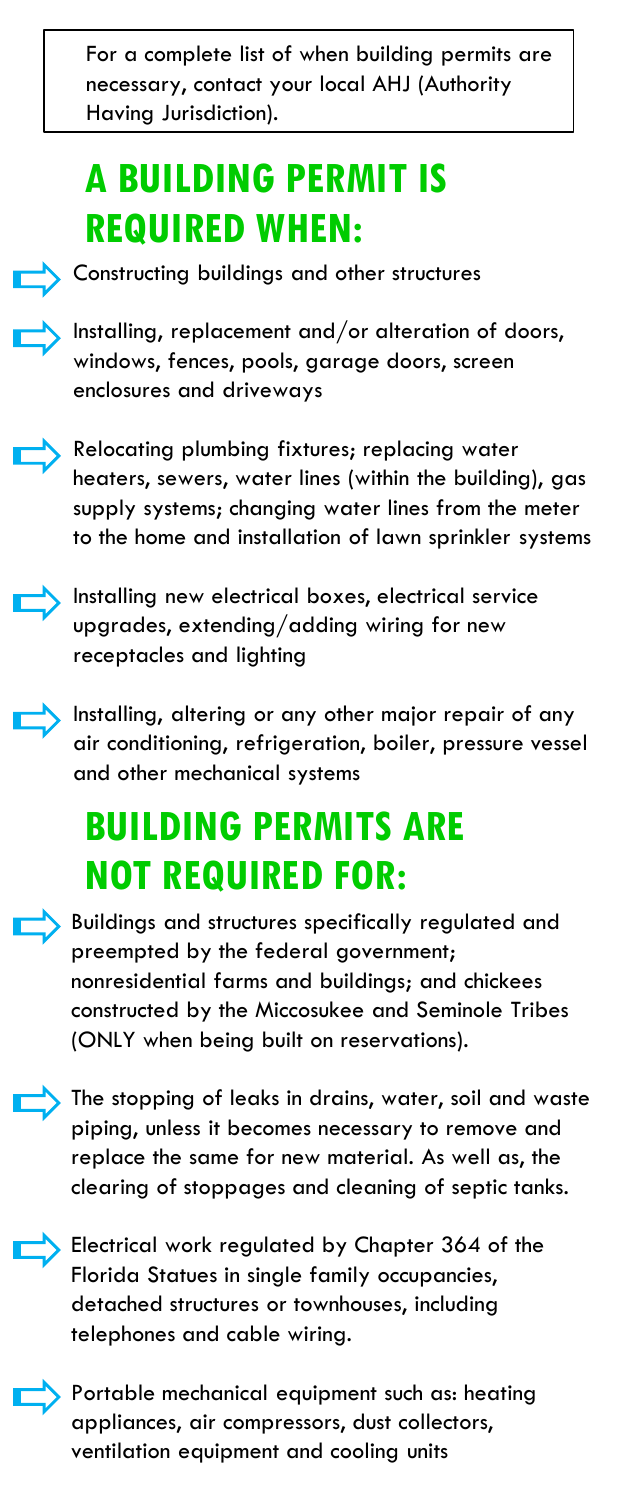For a complete list of when building permits are necessary, contact your local AHJ (Authority Having Jurisdiction).

# **A BUILDING PERMIT IS REQUIRED WHEN:**



**• Constructing buildings and other structures** 

**h** Installing, replacement and/or alteration of doors, windows, fences, pools, garage doors, screen enclosures and driveways



**Relocating plumbing fixtures; replacing water** heaters, sewers, water lines (within the building), gas supply systems; changing water lines from the meter to the home and installation of lawn sprinkler systems



Installing new electrical boxes, electrical service upgrades, extending/adding wiring for new receptacles and lighting

Installing, altering or any other major repair of any air conditioning, refrigeration, boiler, pressure vessel and other mechanical systems

# **BUILDING PERMITS ARE NOT REQUIRED FOR:**

• Buildings and structures specifically regulated and preempted by the federal government; nonresidential farms and buildings; and chickees constructed by the Miccosukee and Seminole Tribes (ONLY when being built on reservations).

The stopping of leaks in drains, water, soil and waste piping, unless it becomes necessary to remove and replace the same for new material. As well as, the clearing of stoppages and cleaning of septic tanks.

**Electrical work regulated by Chapter 364 of the** Florida Statues in single family occupancies, detached structures or townhouses, including telephones and cable wiring.

**• Portable mechanical equipment such as: heating** appliances, air compressors, dust collectors, ventilation equipment and cooling units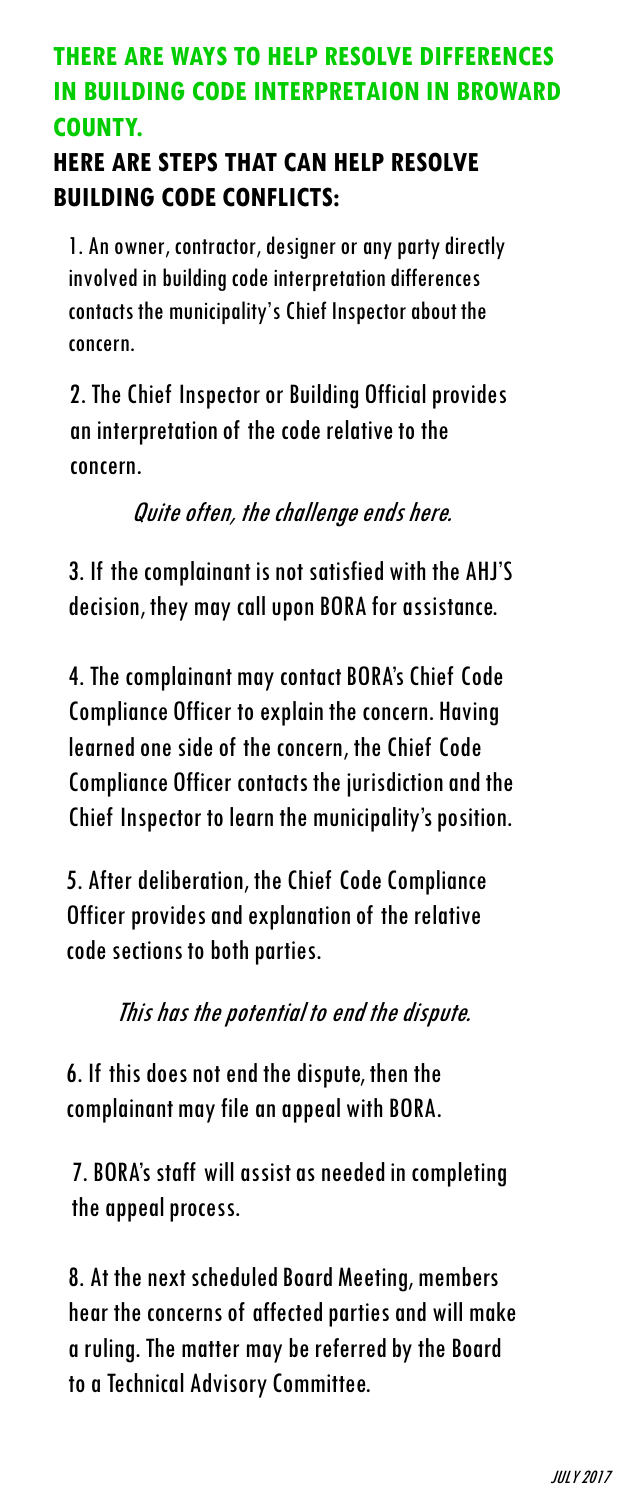### **THERE ARE WAYS TO HELP RESOLVE DIFFERENCES IN BUILDING CODE INTERPRETAION IN BROWARD COUNTY.**

### **HERE ARE STEPS THAT CAN HELP RESOLVE BUILDING CODE CONFLICTS:**

1. An owner, contractor, designer or any party directly involved in building code interpretation differences contacts the municipality's Chief Inspector about the concern.

2. The Chief Inspector or Building Official provides an interpretation of the code relative to the concern.

Quite often, the challenge ends here.

3. If the complainant is not satisfied with the AHJ'S decision, they may call upon BORA for assistance.

4. The complainant may contact BORA's Chief Code Compliance Officer to explain the concern. Having learned one side of the concern, the Chief Code Compliance Officer contacts the jurisdiction and the Chief Inspector to learn the municipality's position.

5. After deliberation, the Chief Code Compliance Officer provides and explanation of the relative code sections to both parties.

This has the potential to end the dispute.

6. If this does not end the dispute, then the complainant may file an appeal with BORA.

7. BORA's staff will assist as needed in completing the appeal process.

8. At the next scheduled Board Meeting, members hear the concerns of affected parties and will make a ruling. The matter may be referred by the Board to a Technical Advisory Committee.